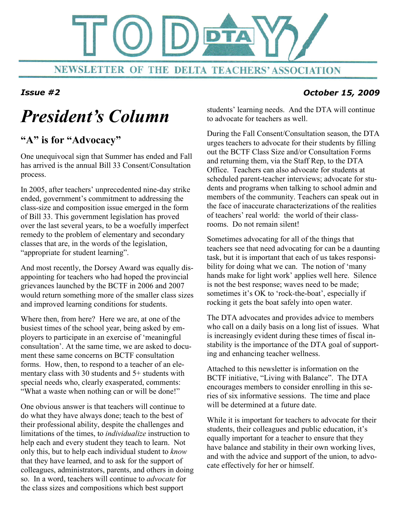

# President's Column

### "A" is for "Advocacy"

One unequivocal sign that Summer has ended and Fall has arrived is the annual Bill 33 Consent/Consultation process.

In 2005, after teachers' unprecedented nine-day strike ended, government's commitment to addressing the class-size and composition issue emerged in the form of Bill 33. This government legislation has proved over the last several years, to be a woefully imperfect remedy to the problem of elementary and secondary classes that are, in the words of the legislation, "appropriate for student learning".

And most recently, the Dorsey Award was equally disappointing for teachers who had hoped the provincial grievances launched by the BCTF in 2006 and 2007 would return something more of the smaller class sizes and improved learning conditions for students.

Where then, from here? Here we are, at one of the busiest times of the school year, being asked by employers to participate in an exercise of 'meaningful consultation'. At the same time, we are asked to document these same concerns on BCTF consultation forms. How, then, to respond to a teacher of an elementary class with 30 students and 5+ students with special needs who, clearly exasperated, comments: "What a waste when nothing can or will be done!"

One obvious answer is that teachers will continue to do what they have always done; teach to the best of their professional ability, despite the challenges and limitations of the times, to individualize instruction to help each and every student they teach to learn. Not only this, but to help each individual student to know that they have learned, and to ask for the support of colleagues, administrators, parents, and others in doing so. In a word, teachers will continue to advocate for the class sizes and compositions which best support

students' learning needs. And the DTA will continue to advocate for teachers as well.

During the Fall Consent/Consultation season, the DTA urges teachers to advocate for their students by filling out the BCTF Class Size and/or Consultation Forms and returning them, via the Staff Rep, to the DTA Office. Teachers can also advocate for students at scheduled parent-teacher interviews; advocate for students and programs when talking to school admin and members of the community. Teachers can speak out in the face of inaccurate characterizations of the realities of teachers' real world: the world of their classrooms. Do not remain silent!

Sometimes advocating for all of the things that teachers see that need advocating for can be a daunting task, but it is important that each of us takes responsibility for doing what we can. The notion of 'many hands make for light work' applies well here. Silence is not the best response; waves need to be made; sometimes it's OK to 'rock-the-boat', especially if rocking it gets the boat safely into open water.

The DTA advocates and provides advice to members who call on a daily basis on a long list of issues. What is increasingly evident during these times of fiscal instability is the importance of the DTA goal of supporting and enhancing teacher wellness.

Attached to this newsletter is information on the BCTF initiative, "Living with Balance". The DTA encourages members to consider enrolling in this series of six informative sessions. The time and place will be determined at a future date.

While it is important for teachers to advocate for their students, their colleagues and public education, it's equally important for a teacher to ensure that they have balance and stability in their own working lives, and with the advice and support of the union, to advocate effectively for her or himself.

#### Issue #2 October 15, 2009